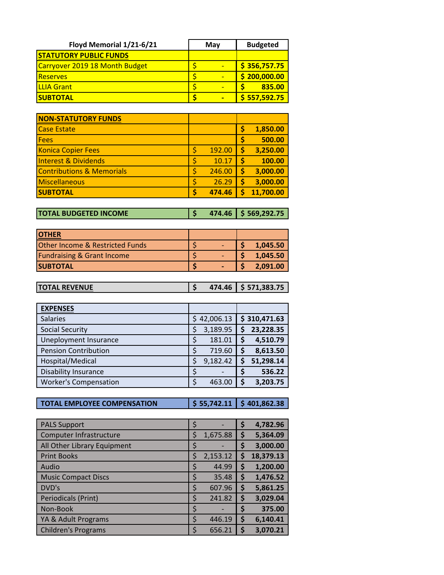| Floyd Memorial 1/21-6/21       | May | <b>Budgeted</b> |  |  |
|--------------------------------|-----|-----------------|--|--|
| <b>STATUTORY PUBLIC FUNDS</b>  |     |                 |  |  |
| Carryover 2019 18 Month Budget |     | \$356,757.75    |  |  |
| <b>Reserves</b>                |     | \$200,000.00    |  |  |
| <b>ILLIA Grant</b>             |     | 835.00          |  |  |
| <b>SUBTOTAL</b>                |     | \$557,592.75    |  |  |

| <b>NON-STATUTORY FUNDS</b>           |        |   |           |
|--------------------------------------|--------|---|-----------|
| <b>Case Estate</b>                   |        | Ś | 1,850.00  |
| Fees                                 |        |   | 500.00    |
| <b>Konica Copier Fees</b>            | 192.00 |   | 3,250.00  |
| <b>Interest &amp; Dividends</b>      | 10.17  |   | 100.00    |
| <b>Contributions &amp; Memorials</b> | 246.00 |   | 3,000.00  |
| <b>Miscellaneous</b>                 | 26.29  |   | 3,000.00  |
| <b>SUBTOTAL</b>                      | 474.46 |   | 11,700.00 |

**TOTAL BUDGETED INCOME**  $\begin{bmatrix} 5 & 474.46 \end{bmatrix}$  \$ 569,292.75

| <b>IOTHER</b>                              |  |          |
|--------------------------------------------|--|----------|
| <b>Other Income &amp; Restricted Funds</b> |  | 1,045.50 |
| <b>Fundraising &amp; Grant Income</b>      |  | 1.045.50 |
| <b>SUBTOTAL</b>                            |  | 2.091.00 |

| <b>TOTAL REVENUE</b> |  | $474.46$   \$ 571,383.75 |
|----------------------|--|--------------------------|
|                      |  |                          |

| <b>EXPENSES</b>              |    |           |    |              |
|------------------------------|----|-----------|----|--------------|
| <b>Salaries</b>              | S. | 42,006.13 |    | \$310,471.63 |
| <b>Social Security</b>       | Ś  | 3,189.95  |    | 23,228.35    |
| Uneployment Insurance        | \$ | 181.01    | S  | 4,510.79     |
| <b>Pension Contribution</b>  | Ś  | 719.60    | \$ | 8,613.50     |
| Hospital/Medical             | \$ | 9,182.42  | S  | 51,298.14    |
| <b>Disability Insurance</b>  | ς  |           | \$ | 536.22       |
| <b>Worker's Compensation</b> | ς  | 463.00    | \$ | 3,203.75     |

**TOTAL EMPLOYEE COMPENSATION \$ 55,742.11 \$ 401,862.38**

| <b>PALS Support</b>         | \$ |          | \$ | 4,782.96  |
|-----------------------------|----|----------|----|-----------|
| Computer Infrastructure     | Ś  | 1,675.88 | \$ | 5,364.09  |
| All Other Library Equipment | \$ |          | \$ | 3,000.00  |
| <b>Print Books</b>          | Ś  | 2,153.12 | S  | 18,379.13 |
| Audio                       | \$ | 44.99    | \$ | 1,200.00  |
| <b>Music Compact Discs</b>  | Ś  | 35.48    | \$ | 1,476.52  |
| DVD's                       | \$ | 607.96   | \$ | 5,861.25  |
| Periodicals (Print)         | \$ | 241.82   | \$ | 3,029.04  |
| Non-Book                    | \$ |          | Ş  | 375.00    |
| YA & Adult Programs         | Ś  | 446.19   | \$ | 6,140.41  |
| <b>Children's Programs</b>  | S  | 656.21   |    | 3,070.21  |